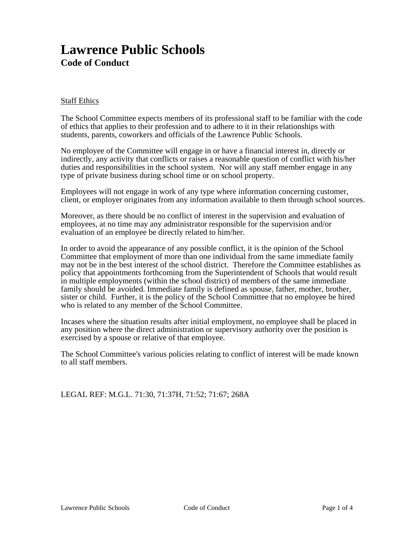# **Lawrence Public Schools Code of Conduct**

#### Staff Ethics

The School Committee expects members of its professional staff to be familiar with the code of ethics that applies to their profession and to adhere to it in their relationships with students, parents, coworkers and officials of the Lawrence Public Schools.

No employee of the Committee will engage in or have a financial interest in, directly or indirectly, any activity that conflicts or raises a reasonable question of conflict with his/her duties and responsibilities in the school system. Nor will any staff member engage in any type of private business during school time or on school property.

Employees will not engage in work of any type where information concerning customer, client, or employer originates from any information available to them through school sources.

Moreover, as there should be no conflict of interest in the supervision and evaluation of employees, at no time may any administrator responsible for the supervision and/or evaluation of an employee be directly related to him/her.

In order to avoid the appearance of any possible conflict, it is the opinion of the School Committee that employment of more than one individual from the same immediate family may not be in the best interest of the school district. Therefore the Committee establishes as policy that appointments forthcoming from the Superintendent of Schools that would result in multiple employments (within the school district) of members of the same immediate family should be avoided. Immediate family is defined as spouse, father, mother, brother, sister or child. Further, it is the policy of the School Committee that no employee be hired who is related to any member of the School Committee.

Incases where the situation results after initial employment, no employee shall be placed in any position where the direct administration or supervisory authority over the position is exercised by a spouse or relative of that employee.

The School Committee's various policies relating to conflict of interest will be made known to all staff members.

LEGAL REF: M.G.L. 71:30, 71:37H, 71:52; 71:67; 268A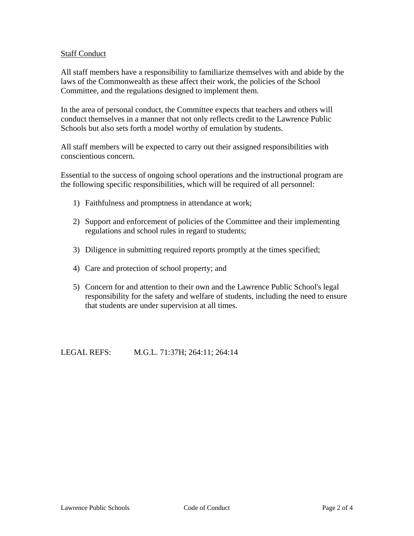## Staff Conduct

All staff members have a responsibility to familiarize themselves with and abide by the laws of the Commonwealth as these affect their work, the policies of the School Committee, and the regulations designed to implement them.

In the area of personal conduct, the Committee expects that teachers and others will conduct themselves in a manner that not only reflects credit to the Lawrence Public Schools but also sets forth a model worthy of emulation by students.

All staff members will be expected to carry out their assigned responsibilities with conscientious concern.

Essential to the success of ongoing school operations and the instructional program are the following specific responsibilities, which will be required of all personnel:

- 1) Faithfulness and promptness in attendance at work;
- 2) Support and enforcement of policies of the Committee and their implementing regulations and school rules in regard to students;
- 3) Diligence in submitting required reports promptly at the times specified;
- 4) Care and protection of school property; and
- 5) Concern for and attention to their own and the Lawrence Public School's legal responsibility for the safety and welfare of students, including the need to ensure that students are under supervision at all times.

LEGAL REFS: M.G.L. 71:37H; 264:11; 264:14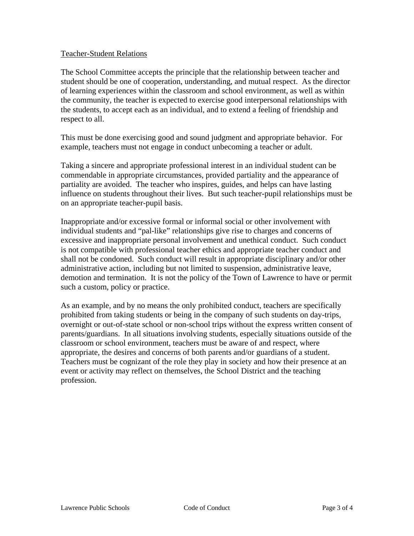## Teacher-Student Relations

The School Committee accepts the principle that the relationship between teacher and student should be one of cooperation, understanding, and mutual respect. As the director of learning experiences within the classroom and school environment, as well as within the community, the teacher is expected to exercise good interpersonal relationships with the students, to accept each as an individual, and to extend a feeling of friendship and respect to all.

This must be done exercising good and sound judgment and appropriate behavior. For example, teachers must not engage in conduct unbecoming a teacher or adult.

Taking a sincere and appropriate professional interest in an individual student can be commendable in appropriate circumstances, provided partiality and the appearance of partiality are avoided. The teacher who inspires, guides, and helps can have lasting influence on students throughout their lives. But such teacher-pupil relationships must be on an appropriate teacher-pupil basis.

Inappropriate and/or excessive formal or informal social or other involvement with individual students and "pal-like" relationships give rise to charges and concerns of excessive and inappropriate personal involvement and unethical conduct. Such conduct is not compatible with professional teacher ethics and appropriate teacher conduct and shall not be condoned. Such conduct will result in appropriate disciplinary and/or other administrative action, including but not limited to suspension, administrative leave, demotion and termination. It is not the policy of the Town of Lawrence to have or permit such a custom, policy or practice.

As an example, and by no means the only prohibited conduct, teachers are specifically prohibited from taking students or being in the company of such students on day-trips, overnight or out-of-state school or non-school trips without the express written consent of parents/guardians. In all situations involving students, especially situations outside of the classroom or school environment, teachers must be aware of and respect, where appropriate, the desires and concerns of both parents and/or guardians of a student. Teachers must be cognizant of the role they play in society and how their presence at an event or activity may reflect on themselves, the School District and the teaching profession.